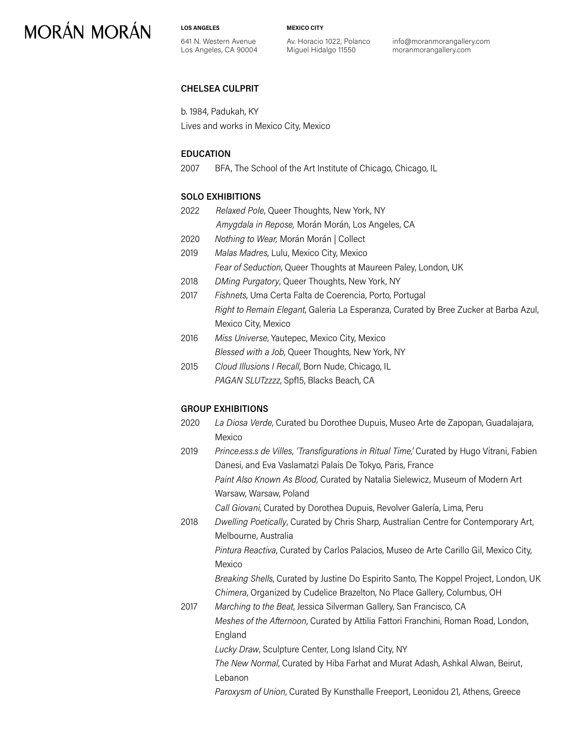# **MORÁN MORÁN**

**LOS ANGELES**

641 N. Western Avenue Los Angeles, CA 90004 **MEXICO CITY**

Av. Horacio 1022, Polanco Miguel Hidalgo 11550

info@moranmorangallery.com moranmorangallery.com

### **CHELSEA CULPRIT**

b. 1984, Padukah, KY Lives and works in Mexico City, Mexico

#### **EDUCATION**

2007 BFA, The School of the Art Institute of Chicago, Chicago, IL

#### **SOLO EXHIBITIONS**

- 2022 *Relaxed Pole*, Queer Thoughts, New York, NY *Amygdala in Repose,* Morán Morán, Los Angeles, CA
- 2020 *Nothing to Wear,* Morán Morán | Collect
- 2019 *Malas Madres*, Lulu, Mexico City, Mexico *Fear of Seduction*, Queer Thoughts at Maureen Paley, London, UK
- 2018 *DMing Purgatory*, Queer Thoughts, New York, NY
- 2017 *Fishnets*, Uma Certa Falta de Coerencia, Porto, Portugal *Right to Remain Elegant*, Galeria La Esperanza, Curated by Bree Zucker at Barba Azul, Mexico City, Mexico
- 2016 *Miss Universe*, Yautepec, Mexico City, Mexico *Blessed with a Job*, Queer Thoughts, New York, NY
- 2015 *Cloud Illusions I Recall*, Born Nude, Chicago, IL *PAGAN SLUTzzzz*, Spf15, Blacks Beach, CA

### **GROUP EXHIBITIONS**

- 2020 *La Diosa Verde*, Curated bu Dorothee Dupuis, Museo Arte de Zapopan, Guadalajara, Mexico
- 2019 *Prince.ess.s de Villes, 'Transfigurations in Ritual Time,'* Curated by Hugo Vitrani, Fabien Danesi, and Eva Vaslamatzi Palais De Tokyo, Paris, France *Paint Also Known As Blood*, Curated by Natalia Sielewicz, Museum of Modern Art Warsaw, Warsaw, Poland

*Call Giovani*, Curated by Dorothea Dupuis, Revolver Galería, Lima, Peru

2018 *Dwelling Poetically*, Curated by Chris Sharp, Australian Centre for Contemporary Art, Melbourne, Australia

*Pintura Reactiva*, Curated by Carlos Palacios, Museo de Arte Carillo Gil, Mexico City, Mexico

*Breaking Shells*, Curated by Justine Do Espirito Santo, The Koppel Project, London, UK *Chimera*, Organized by Cudelice Brazelton, No Place Gallery, Columbus, OH

2017 *Marching to the Beat*, Jessica Silverman Gallery, San Francisco, CA *Meshes of the Afternoon*, Curated by Attilia Fattori Franchini, Roman Road, London, England

*Lucky Draw*, Sculpture Center, Long Island City, NY

*The New Normal*, Curated by Hiba Farhat and Murat Adash, Ashkal Alwan, Beirut, Lebanon

*Paroxysm of Union*, Curated By Kunsthalle Freeport, Leonidou 21, Athens, Greece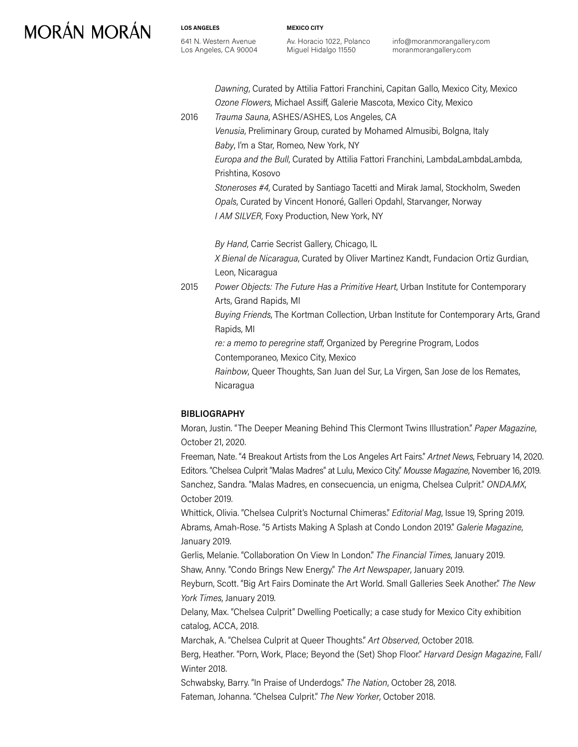# **MORÁN MORÁN**

**LOS ANGELES** 641 N. Western Avenue Los Angeles, CA 90004 **MEXICO CITY**

Av. Horacio 1022, Polanco Miguel Hidalgo 11550

info@moranmorangallery.com moranmorangallery.com

*Dawning*, Curated by Attilia Fattori Franchini, Capitan Gallo, Mexico City, Mexico *Ozone Flowers*, Michael Assiff, Galerie Mascota, Mexico City, Mexico

2016 *Trauma Sauna*, ASHES/ASHES, Los Angeles, CA

*Venusia*, Preliminary Group, curated by Mohamed Almusibi, Bolgna, Italy *Baby*, I'm a Star, Romeo, New York, NY

*Europa and the Bull*, Curated by Attilia Fattori Franchini, LambdaLambdaLambda, Prishtina, Kosovo

*Stoneroses #4*, Curated by Santiago Tacetti and Mirak Jamal, Stockholm, Sweden *Opals*, Curated by Vincent Honoré, Galleri Opdahl, Starvanger, Norway *I AM SILVER*, Foxy Production, New York, NY

*By Hand*, Carrie Secrist Gallery, Chicago, IL *X Bienal de Nicaragua*, Curated by Oliver Martinez Kandt, Fundacion Ortiz Gurdian,

Leon, Nicaragua

2015 *Power Objects: The Future Has a Primitive Heart*, Urban Institute for Contemporary Arts, Grand Rapids, MI

*Buying Friends*, The Kortman Collection, Urban Institute for Contemporary Arts, Grand Rapids, MI

*re: a memo to peregrine staff*, Organized by Peregrine Program, Lodos

Contemporaneo, Mexico City, Mexico

*Rainbow*, Queer Thoughts, San Juan del Sur, La Virgen, San Jose de los Remates, Nicaragua

### **BIBLIOGRAPHY**

Moran, Justin. "The Deeper Meaning Behind This Clermont Twins Illustration." *Paper Magazine*, October 21, 2020.

Freeman, Nate. "4 Breakout Artists from the Los Angeles Art Fairs." *Artnet News*, February 14, 2020. Editors. "Chelsea Culprit "Malas Madres" at Lulu, Mexico City." *Mousse Magazine*, November 16, 2019. Sanchez, Sandra. "Malas Madres, en consecuencia, un enigma, Chelsea Culprit." *ONDA.MX*, October 2019.

Whittick, Olivia. "Chelsea Culprit's Nocturnal Chimeras." *Editorial Mag*, Issue 19, Spring 2019. Abrams, Amah-Rose. "5 Artists Making A Splash at Condo London 2019." *Galerie Magazine*, January 2019.

Gerlis, Melanie. "Collaboration On View In London." *The Financial Times*, January 2019. Shaw, Anny. "Condo Brings New Energy." *The Art Newspaper*, January 2019.

Reyburn, Scott. "Big Art Fairs Dominate the Art World. Small Galleries Seek Another." *The New York Times*, January 2019.

Delany, Max. "Chelsea Culprit" Dwelling Poetically; a case study for Mexico City exhibition catalog, ACCA, 2018.

Marchak, A. "Chelsea Culprit at Queer Thoughts." *Art Observed*, October 2018.

Berg, Heather. "Porn, Work, Place; Beyond the (Set) Shop Floor." *Harvard Design Magazine*, Fall/ Winter 2018.

Schwabsky, Barry. "In Praise of Underdogs." *The Nation*, October 28, 2018. Fateman, Johanna. "Chelsea Culprit." *The New Yorker*, October 2018.